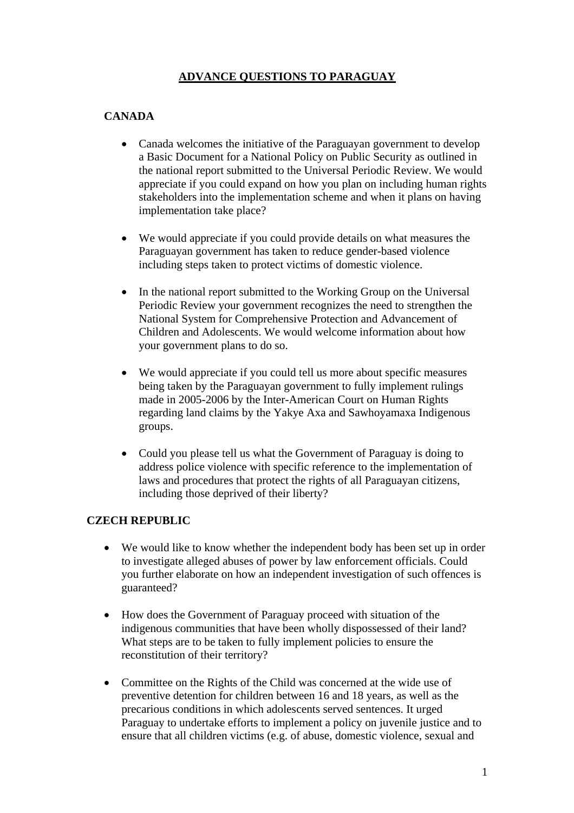## **ADVANCE QUESTIONS TO PARAGUAY**

# **CANADA**

- Canada welcomes the initiative of the Paraguayan government to develop a Basic Document for a National Policy on Public Security as outlined in the national report submitted to the Universal Periodic Review. We would appreciate if you could expand on how you plan on including human rights stakeholders into the implementation scheme and when it plans on having implementation take place?
- We would appreciate if you could provide details on what measures the Paraguayan government has taken to reduce gender-based violence including steps taken to protect victims of domestic violence.
- In the national report submitted to the Working Group on the Universal Periodic Review your government recognizes the need to strengthen the National System for Comprehensive Protection and Advancement of Children and Adolescents. We would welcome information about how your government plans to do so.
- We would appreciate if you could tell us more about specific measures being taken by the Paraguayan government to fully implement rulings made in 2005-2006 by the Inter-American Court on Human Rights regarding land claims by the Yakye Axa and Sawhoyamaxa Indigenous groups.
- Could you please tell us what the Government of Paraguay is doing to address police violence with specific reference to the implementation of laws and procedures that protect the rights of all Paraguayan citizens, including those deprived of their liberty?

### **CZECH REPUBLIC**

- We would like to know whether the independent body has been set up in order to investigate alleged abuses of power by law enforcement officials. Could you further elaborate on how an independent investigation of such offences is guaranteed?
- How does the Government of Paraguay proceed with situation of the indigenous communities that have been wholly dispossessed of their land? What steps are to be taken to fully implement policies to ensure the reconstitution of their territory?
- Committee on the Rights of the Child was concerned at the wide use of preventive detention for children between 16 and 18 years, as well as the precarious conditions in which adolescents served sentences. It urged Paraguay to undertake efforts to implement a policy on juvenile justice and to ensure that all children victims (e.g. of abuse, domestic violence, sexual and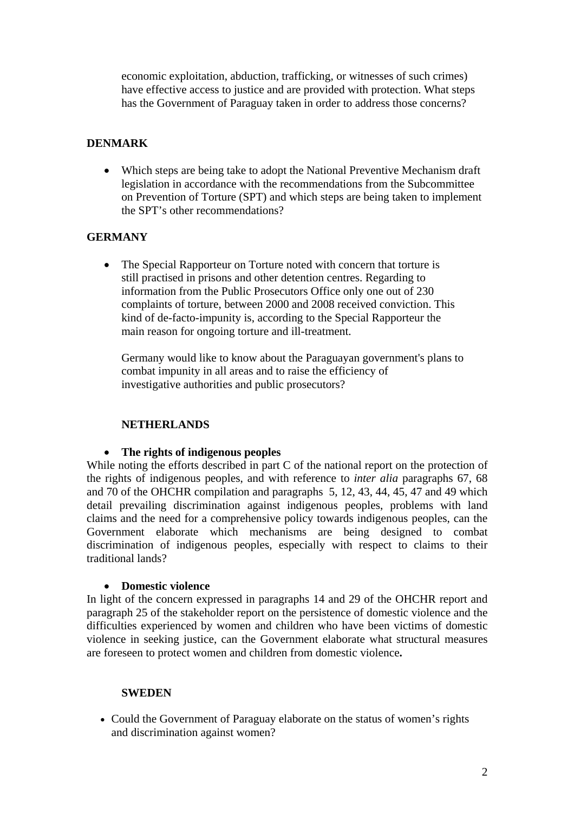economic exploitation, abduction, trafficking, or witnesses of such crimes) have effective access to justice and are provided with protection. What steps has the Government of Paraguay taken in order to address those concerns?

## **DENMARK**

• Which steps are being take to adopt the National Preventive Mechanism draft legislation in accordance with the recommendations from the Subcommittee on Prevention of Torture (SPT) and which steps are being taken to implement the SPT's other recommendations?

## **GERMANY**

• The Special Rapporteur on Torture noted with concern that torture is still practised in prisons and other detention centres. Regarding to information from the Public Prosecutors Office only one out of 230 complaints of torture, between 2000 and 2008 received conviction. This kind of de-facto-impunity is, according to the Special Rapporteur the main reason for ongoing torture and ill-treatment.

Germany would like to know about the Paraguayan government's plans to combat impunity in all areas and to raise the efficiency of investigative authorities and public prosecutors?

### **NETHERLANDS**

### • **The rights of indigenous peoples**

While noting the efforts described in part C of the national report on the protection of the rights of indigenous peoples, and with reference to *inter alia* paragraphs 67, 68 and 70 of the OHCHR compilation and paragraphs 5, 12, 43, 44, 45, 47 and 49 which detail prevailing discrimination against indigenous peoples, problems with land claims and the need for a comprehensive policy towards indigenous peoples, can the Government elaborate which mechanisms are being designed to combat discrimination of indigenous peoples, especially with respect to claims to their traditional lands?

### • **Domestic violence**

In light of the concern expressed in paragraphs 14 and 29 of the OHCHR report and paragraph 25 of the stakeholder report on the persistence of domestic violence and the difficulties experienced by women and children who have been victims of domestic violence in seeking justice, can the Government elaborate what structural measures are foreseen to protect women and children from domestic violence**.** 

### **SWEDEN**

• Could the Government of Paraguay elaborate on the status of women's rights and discrimination against women?